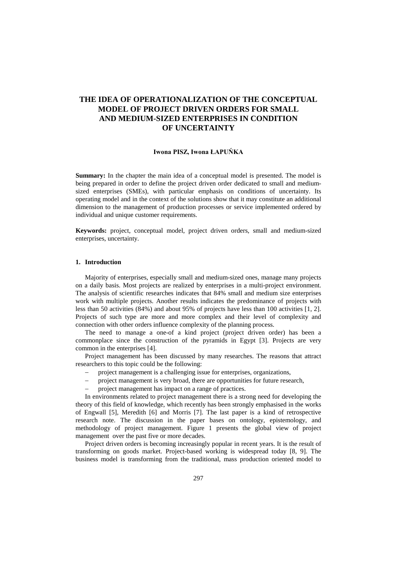# **THE IDEA OF OPERATIONALIZATION OF THE CONCEPTUAL MODEL OF PROJECT DRIVEN ORDERS FOR SMALL AND MEDIUM-SIZED ENTERPRISES IN CONDITION OF UNCERTAINTY**

## **Iwona PISZ, Iwona ŁAPUŃKA**

**Summary:** In the chapter the main idea of a conceptual model is presented. The model is being prepared in order to define the project driven order dedicated to small and mediumsized enterprises (SMEs), with particular emphasis on conditions of uncertainty. Its operating model and in the context of the solutions show that it may constitute an additional dimension to the management of production processes or service implemented ordered by individual and unique customer requirements.

**Keywords:** project, conceptual model, project driven orders, small and medium-sized enterprises, uncertainty.

### **1. Introduction**

Majority of enterprises, especially small and medium-sized ones, manage many projects on a daily basis. Most projects are realized by enterprises in a multi-project environment. The analysis of scientific researches indicates that 84% small and medium size enterprises work with multiple projects. Another results indicates the predominance of projects with less than 50 activities (84%) and about 95% of projects have less than 100 activities [1, 2]. Projects of such type are more and more complex and their level of complexity and connection with other orders influence complexity of the planning process.

The need to manage a one-of a kind project (project driven order) has been a commonplace since the construction of the pyramids in Egypt [3]. Projects are very common in the enterprises [4].

Project management has been discussed by many researches. The reasons that attract researchers to this topic could be the following:

- − project management is a challenging issue for enterprises, organizations,
- project management is very broad, there are opportunities for future research,
- project management has impact on a range of practices.

In environments related to project management there is a strong need for developing the theory of this field of knowledge, which recently has been strongly emphasised in the works of Engwall [5], Meredith [6] and Morris [7]. The last paper is a kind of retrospective research note. The discussion in the paper bases on ontology, epistemology, and methodology of project management. Figure 1 presents the global view of project management over the past five or more decades.

Project driven orders is becoming increasingly popular in recent years. It is the result of transforming on goods market. Project-based working is widespread today [8, 9]. The business model is transforming from the traditional, mass production oriented model to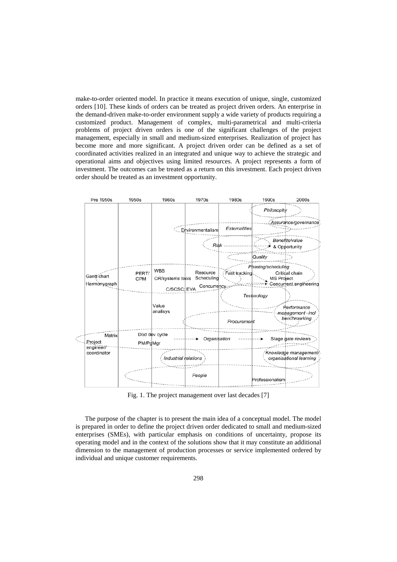make-to-order oriented model. In practice it means execution of unique, single, customized orders [10]. These kinds of orders can be treated as project driven orders. An enterprise in the demand-driven make-to-order environment supply a wide variety of products requiring a customized product. Management of complex, multi-parametrical and multi-criteria problems of project driven orders is one of the significant challenges of the project management, especially in small and medium-sized enterprises. Realization of project has become more and more significant. A project driven order can be defined as a set of coordinated activities realized in an integrated and unique way to achieve the strategic and operational aims and objectives using limited resources. A project represents a form of investment. The outcomes can be treated as a return on this investment. Each project driven order should be treated as an investment opportunity.



Fig. 1. The project management over last decades [7]

The purpose of the chapter is to present the main idea of a conceptual model. The model is prepared in order to define the project driven order dedicated to small and medium-sized enterprises (SMEs), with particular emphasis on conditions of uncertainty, propose its operating model and in the context of the solutions show that it may constitute an additional dimension to the management of production processes or service implemented ordered by individual and unique customer requirements.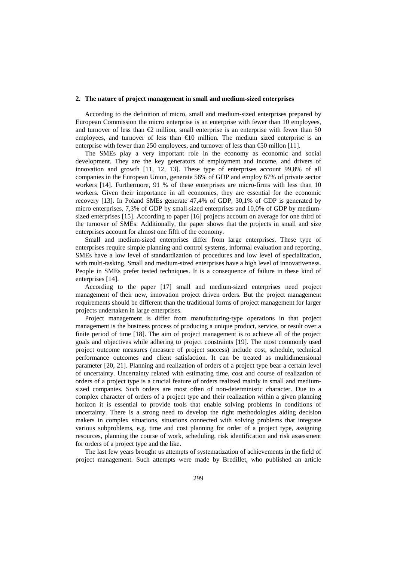#### **2. The nature of project management in small and medium-sized enterprises**

According to the definition of micro, small and medium-sized enterprises prepared by European Commission the micro enterprise is an enterprise with fewer than 10 employees, and turnover of less than  $\epsilon$ 2 million, small enterprise is an enterprise with fewer than 50 employees, and turnover of less than  $\epsilon 0$  million. The medium sized enterprise is an enterprise with fewer than 250 employees, and turnover of less than  $\epsilon$ 50 millon [11].

The SMEs play a very important role in the economy as economic and social development. They are the key generators of employment and income, and drivers of innovation and growth [11, 12, 13]. These type of enterprises account 99,8% of all companies in the European Union, generate 56% of GDP and employ 67% of private sector workers [14]. Furthermore, 91 % of these enterprises are micro-firms with less than 10 workers. Given their importance in all economies, they are essential for the economic recovery [13]. In Poland SMEs generate 47,4% of GDP, 30,1% of GDP is generated by micro enterprises, 7,3% of GDP by small-sized enterprises and 10,0% of GDP by mediumsized enterprises [15]. According to paper [16] projects account on average for one third of the turnover of SMEs. Additionally, the paper shows that the projects in small and size enterprises account for almost one fifth of the economy.

Small and medium-sized enterprises differ from large enterprises. These type of enterprises require simple planning and control systems, informal evaluation and reporting. SMEs have a low level of standardization of procedures and low level of specialization, with multi-tasking. Small and medium-sized enterprises have a high level of innovativeness. People in SMEs prefer tested techniques. It is a consequence of failure in these kind of enterprises [14].

According to the paper [17] small and medium-sized enterprises need project management of their new, innovation project driven orders. But the project management requirements should be different than the traditional forms of project management for larger projects undertaken in large enterprises.

Project management is differ from manufacturing-type operations in that project management is the business process of producing a unique product, service, or result over a finite period of time [18]. The aim of project management is to achieve all of the project goals and objectives while adhering to project constraints [19]. The most commonly used project outcome measures (measure of project success) include cost, schedule, technical performance outcomes and client satisfaction. It can be treated as multidimensional parameter [20, 21]. Planning and realization of orders of a project type bear a certain level of uncertainty. Uncertainty related with estimating time, cost and course of realization of orders of a project type is a crucial feature of orders realized mainly in small and mediumsized companies. Such orders are most often of non-deterministic character. Due to a complex character of orders of a project type and their realization within a given planning horizon it is essential to provide tools that enable solving problems in conditions of uncertainty. There is a strong need to develop the right methodologies aiding decision makers in complex situations, situations connected with solving problems that integrate various subproblems, e.g. time and cost planning for order of a project type, assigning resources, planning the course of work, scheduling, risk identification and risk assessment for orders of a project type and the like.

The last few years brought us attempts of systematization of achievements in the field of project management. Such attempts were made by Bredillet, who published an article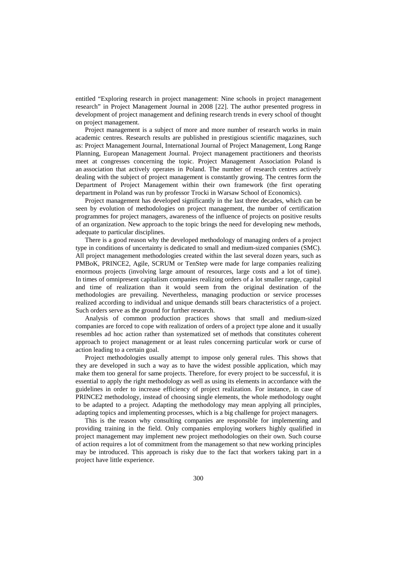entitled "Exploring research in project management: Nine schools in project management research" in Project Management Journal in 2008 [22]. The author presented progress in development of project management and defining research trends in every school of thought on project management.

Project management is a subject of more and more number of research works in main academic centres. Research results are published in prestigious scientific magazines, such as: Project Management Journal, International Journal of Project Management, Long Range Planning, European Management Journal. Project management practitioners and theorists meet at congresses concerning the topic. Project Management Association Poland is an association that actively operates in Poland. The number of research centres actively dealing with the subject of project management is constantly growing. The centres form the Department of Project Management within their own framework (the first operating department in Poland was run by professor Trocki in Warsaw School of Economics).

Project management has developed significantly in the last three decades, which can be seen by evolution of methodologies on project management, the number of certification programmes for project managers, awareness of the influence of projects on positive results of an organization. New approach to the topic brings the need for developing new methods, adequate to particular disciplines.

There is a good reason why the developed methodology of managing orders of a project type in conditions of uncertainty is dedicated to small and medium-sized companies (SMC). All project management methodologies created within the last several dozen years, such as PMBoK, PRINCE2, Agile, SCRUM or TenStep were made for large companies realizing enormous projects (involving large amount of resources, large costs and a lot of time). In times of omnipresent capitalism companies realizing orders of a lot smaller range, capital and time of realization than it would seem from the original destination of the methodologies are prevailing. Nevertheless, managing production or service processes realized according to individual and unique demands still bears characteristics of a project. Such orders serve as the ground for further research.

Analysis of common production practices shows that small and medium-sized companies are forced to cope with realization of orders of a project type alone and it usually resembles ad hoc action rather than systematized set of methods that constitutes coherent approach to project management or at least rules concerning particular work or curse of action leading to a certain goal.

Project methodologies usually attempt to impose only general rules. This shows that they are developed in such a way as to have the widest possible application, which may make them too general for same projects. Therefore, for every project to be successful, it is essential to apply the right methodology as well as using its elements in accordance with the guidelines in order to increase efficiency of project realization. For instance, in case of PRINCE2 methodology, instead of choosing single elements, the whole methodology ought to be adapted to a project. Adapting the methodology may mean applying all principles, adapting topics and implementing processes, which is a big challenge for project managers.

This is the reason why consulting companies are responsible for implementing and providing training in the field. Only companies employing workers highly qualified in project management may implement new project methodologies on their own. Such course of action requires a lot of commitment from the management so that new working principles may be introduced. This approach is risky due to the fact that workers taking part in a project have little experience.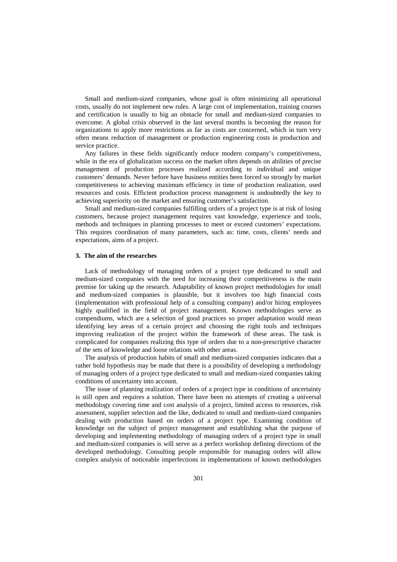Small and medium-sized companies, whose goal is often minimizing all operational costs, usually do not implement new rules. A large cost of implementation, training courses and certification is usually to big an obstacle for small and medium-sized companies to overcome. A global crisis observed in the last several months is becoming the reason for organizations to apply more restrictions as far as costs are concerned, which in turn very often means reduction of management or production engineering costs in production and service practice.

Any failures in these fields significantly reduce modern company's competitiveness, while in the era of globalization success on the market often depends on abilities of precise management of production processes realized according to individual and unique customers' demands. Never before have business entities been forced so strongly by market competitiveness to achieving maximum efficiency in time of production realization, used resources and costs. Efficient production process management is undoubtedly the key to achieving superiority on the market and ensuring customer's satisfaction.

Small and medium-sized companies fulfilling orders of a project type is at risk of losing customers, because project management requires vast knowledge, experience and tools, methods and techniques in planning processes to meet or exceed customers' expectations. This requires coordination of many parameters, such as: time, costs, clients' needs and expectations, aims of a project.

## **3. The aim of the researches**

Lack of methodology of managing orders of a project type dedicated to small and medium-sized companies with the need for increasing their competitiveness is the main premise for taking up the research. Adaptability of known project methodologies for small and medium-sized companies is plausible, but it involves too high financial costs (implementation with professional help of a consulting company) and/or hiring employees highly qualified in the field of project management. Known methodologies serve as compendiums, which are a selection of good practices so proper adaptation would mean identifying key areas of a certain project and choosing the right tools and techniques improving realization of the project within the framework of these areas. The task is complicated for companies realizing this type of orders due to a non-prescriptive character of the sets of knowledge and loose relations with other areas.

The analysis of production habits of small and medium-sized companies indicates that a rather bold hypothesis may be made that there is a possibility of developing a methodology of managing orders of a project type dedicated to small and medium-sized companies taking conditions of uncertainty into account.

The issue of planning realization of orders of a project type in conditions of uncertainty is still open and requires a solution. There have been no attempts of creating a universal methodology covering time and cost analysis of a project, limited access to resources, risk assessment, supplier selection and the like, dedicated to small and medium-sized companies dealing with production based on orders of a project type. Examining condition of knowledge on the subject of project management and establishing what the purpose of developing and implementing methodology of managing orders of a project type in small and medium-sized companies is will serve as a perfect workshop defining directions of the developed methodology. Consulting people responsible for managing orders will allow complex analysis of noticeable imperfections in implementations of known methodologies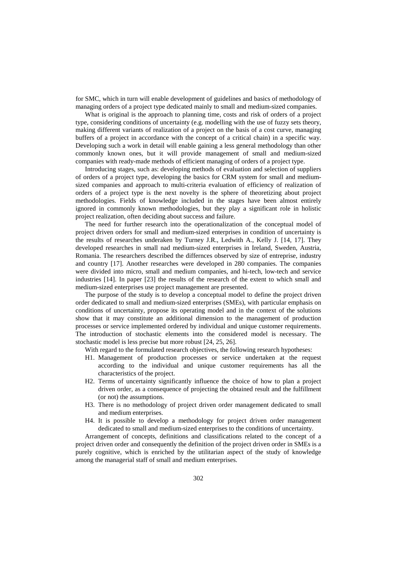for SMC, which in turn will enable development of guidelines and basics of methodology of managing orders of a project type dedicated mainly to small and medium-sized companies.

What is original is the approach to planning time, costs and risk of orders of a project type, considering conditions of uncertainty (e.g. modelling with the use of fuzzy sets theory, making different variants of realization of a project on the basis of a cost curve, managing buffers of a project in accordance with the concept of a critical chain) in a specific way. Developing such a work in detail will enable gaining a less general methodology than other commonly known ones, but it will provide management of small and medium-sized companies with ready-made methods of efficient managing of orders of a project type.

Introducing stages, such as: developing methods of evaluation and selection of suppliers of orders of a project type, developing the basics for CRM system for small and mediumsized companies and approach to multi-criteria evaluation of efficiency of realization of orders of a project type is the next novelty is the sphere of theoretizing about project methodologies. Fields of knowledge included in the stages have been almost entirely ignored in commonly known methodologies, but they play a significant role in holistic project realization, often deciding about success and failure.

The need for further research into the operationalization of the conceptual model of project driven orders for small and medium-sized enterprises in condition of uncertainty is the results of researches underaken by Turney J.R., Ledwith A., Kelly J. [14, 17]. They developed researches in small nad medium-sized enterprises in Ireland, Sweden, Austria, Romania. The researchers described the differnces observed by size of entreprise, industry and country [17]. Another researches were developed in 280 companies. The companies were divided into micro, small and medium companies, and hi-tech, low-tech and service industries [14]. In paper [23] the results of the research of the extent to which small and medium-sized enterprises use project management are presented.

The purpose of the study is to develop a conceptual model to define the project driven order dedicated to small and medium-sized enterprises (SMEs), with particular emphasis on conditions of uncertainty, propose its operating model and in the context of the solutions show that it may constitute an additional dimension to the management of production processes or service implemented ordered by individual and unique customer requirements. The introduction of stochastic elements into the considered model is necessary. The stochastic model is less precise but more robust [24, 25, 26].

With regard to the formulated research objectives, the following research hypotheses:

- H1. Management of production processes or service undertaken at the request according to the individual and unique customer requirements has all the characteristics of the project.
- H2. Terms of uncertainty significantly influence the choice of how to plan a project driven order, as a consequence of projecting the obtained result and the fulfillment (or not) the assumptions.
- H3. There is no methodology of project driven order management dedicated to small and medium enterprises.
- H4. It is possible to develop a methodology for project driven order management dedicated to small and medium-sized enterprises to the conditions of uncertainty.

Arrangement of concepts, definitions and classifications related to the concept of a project driven order and consequently the definition of the project driven order in SMEs is a purely cognitive, which is enriched by the utilitarian aspect of the study of knowledge among the managerial staff of small and medium enterprises.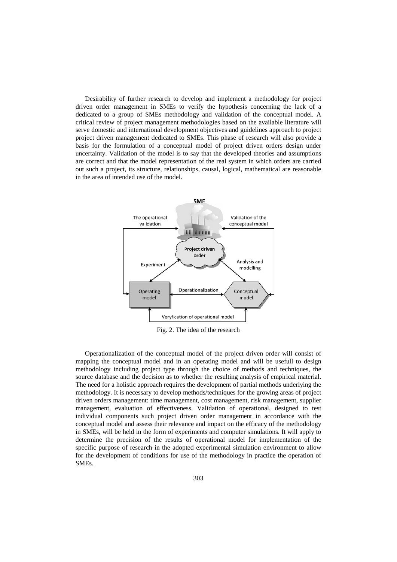Desirability of further research to develop and implement a methodology for project driven order management in SMEs to verify the hypothesis concerning the lack of a dedicated to a group of SMEs methodology and validation of the conceptual model. A critical review of project management methodologies based on the available literature will serve domestic and international development objectives and guidelines approach to project project driven management dedicated to SMEs. This phase of research will also provide a basis for the formulation of a conceptual model of project driven orders design under uncertainty. Validation of the model is to say that the developed theories and assumptions are correct and that the model representation of the real system in which orders are carried out such a project, its structure, relationships, causal, logical, mathematical are reasonable in the area of intended use of the model.



Fig. 2. The idea of the research

Operationalization of the conceptual model of the project driven order will consist of mapping the conceptual model and in an operating model and will be usefull to design methodology including project type through the choice of methods and techniques, the source database and the decision as to whether the resulting analysis of empirical material. The need for a holistic approach requires the development of partial methods underlying the methodology. It is necessary to develop methods/techniques for the growing areas of project driven orders management: time management, cost management, risk management, supplier management, evaluation of effectiveness. Validation of operational, designed to test individual components such project driven order management in accordance with the conceptual model and assess their relevance and impact on the efficacy of the methodology in SMEs, will be held in the form of experiments and computer simulations. It will apply to determine the precision of the results of operational model for implementation of the specific purpose of research in the adopted experimental simulation environment to allow for the development of conditions for use of the methodology in practice the operation of SMEs.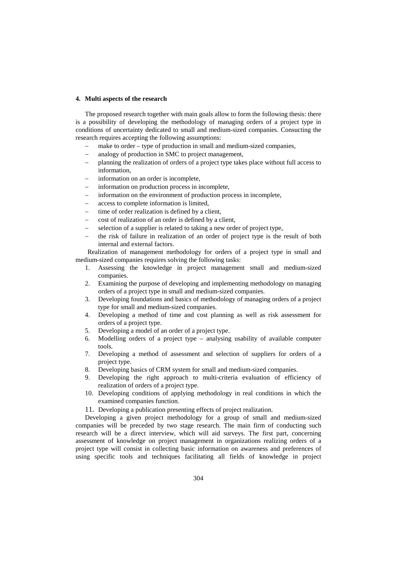### **4. Multi aspects of the research**

The proposed research together with main goals allow to form the following thesis: there is a possibility of developing the methodology of managing orders of a project type in conditions of uncertainty dedicated to small and medium-sized companies. Consucting the research requires accepting the following assumptions:

- make to order type of production in small and medium-sized companies,
- analogy of production in SMC to project management,
- − planning the realization of orders of a project type takes place without full access to information,
- information on an order is incomplete,
- information on production process in incomplete,
- information on the environment of production process in incomplete,
- − access to complete information is limited,
- time of order realization is defined by a client,
- cost of realization of an order is defined by a client,
- selection of a supplier is related to taking a new order of project type,
- the risk of failure in realization of an order of project type is the result of both internal and external factors.

Realization of management methodology for orders of a project type in small and medium-sized companies requires solving the following tasks:

- 1. Assessing the knowledge in project management small and medium-sized companies.
- 2. Examining the purpose of developing and implementing methodology on managing orders of a project type in small and medium-sized companies.
- 3. Developing foundations and basics of methodology of managing orders of a project type for small and medium-sized companies.
- 4. Developing a method of time and cost planning as well as risk assessment for orders of a project type.
- 5. Developing a model of an order of a project type.
- 6. Modelling orders of a project type analysing usability of available computer tools.
- 7. Developing a method of assessment and selection of suppliers for orders of a project type.
- 8. Developing basics of CRM system for small and medium-sized companies.
- 9. Developing the right approach to multi-criteria evaluation of efficiency of realization of orders of a project type.
- 10. Developing conditions of applying methodology in real conditions in which the examined companies function.
- 11. Developing a publication presenting effects of project realization.

Developing a given project methodology for a group of small and medium-sized companies will be preceded by two stage research. The main firm of conducting such research will be a direct interview, which will aid surveys. The first part, concerning assessment of knowledge on project management in organizations realizing orders of a project type will consist in collecting basic information on awareness and preferences of using specific tools and techniques facilitating all fields of knowledge in project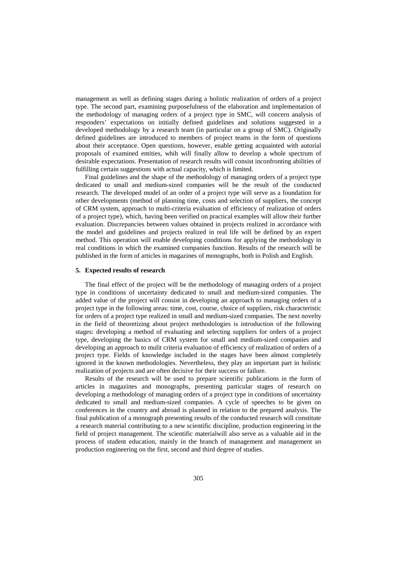management as well as defining stages during a holistic realization of orders of a project type. The second part, examining purposefulness of the elaboration and implementation of the methodology of managing orders of a project type in SMC, will concern analysis of responders' expectations on initially defined guidelines and solutions suggested in a developed methodology by a research team (in particular on a group of SMC). Originally defined guidelines are introduced to members of project teams in the form of questions about their acceptance. Open questions, however, enable getting acquainted with autorial proposals of examined entities, whih will finally allow to develop a whole spectrum of desirable expectations. Presentation of research results will consist inconfronting abilities of fulfilling certain suggestions with actual capacity, which is limited.

Final guidelines and the shape of the methodology of managing orders of a project type dedicated to small and medium-sized companies will be the result of the conducted research. The developed model of an order of a project type will serve as a foundation for other developments (method of planning time, costs and selection of suppliers, the concept of CRM system, approach to multi-criteria evaluation of efficiency of realization of orders of a project type), which, having been verified on practical examples will allow their further evaluation. Discrepancies between values obtained in projects realized in accordance with the model and guidelines and projects realized in real life will be defined by an expert method. This operation will enable developing conditions for applying the methodology in real conditions in which the examined companies function. Results of the research will be published in the form of articles in magazines of monographs, both in Polish and English.

### **5. Expected results of research**

The final effect of the project will be the methodology of managing orders of a project type in conditions of uncertainty dedicated to small and medium-sized companies. The added value of the project will consist in developing an approach to managing orders of a project type in the following areas: time, cost, course, choice of suppliers, risk characteristic for orders of a project type realized in small and medium-sized companies. The next novelty in the field of theoretizing about project methodologies is introduction of the following stages: developing a method of evaluating and selecting suppliers for orders of a project type, developing the basics of CRM system for small and medium-sized companies and developing an approach to mulit criteria evaluation of efficiency of realization of orders of a project type. Fields of knowledge included in the stages have been almost completely ignored in the known methodologies. Nevertheless, they play an important part in holistic realization of projects and are often decisive for their success or failure.

Results of the research will be used to prepare scientific publications in the form of articles in magazines and monographs, presenting particular stages of research on developing a methodology of managing orders of a project type in conditions of uncertainty dedicated to small and medium-sized companies. A cycle of speeches to be given on conferences in the country and abroad is planned in relation to the prepared analysis. The final publication of a monograph presenting results of the conducted research will constitute a research material contributing to a new scientific discipline, production engineering in the field of project management. The scientific materialwill also serve as a valuable aid in the process of student education, mainly in the branch of management and management an production engineering on the first, second and third degree of studies.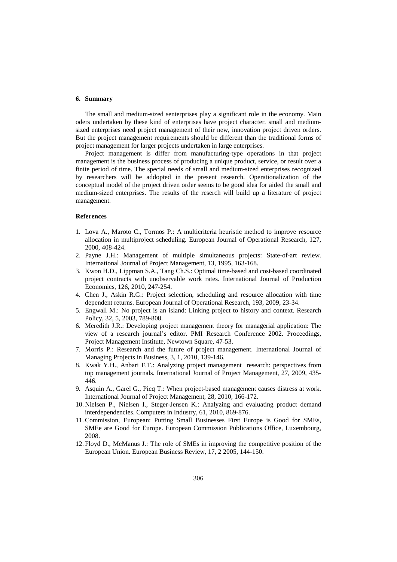## **6. Summary**

The small and medium-sized senterprises play a significant role in the economy. Main oders undertaken by these kind of enterprises have project character. small and mediumsized enterprises need project management of their new, innovation project driven orders. But the project management requirements should be different than the traditional forms of project management for larger projects undertaken in large enterprises.

Project management is differ from manufacturing-type operations in that project management is the business process of producing a unique product, service, or result over a finite period of time. The special needs of small and medium-sized enterprises recognized by researchers will be addopted in the present research. Operationalization of the conceptual model of the project driven order seems to be good idea for aided the small and medium-sized enterprises. The results of the reserch will build up a literature of project management.

## **References**

- 1. Lova A., Maroto C., Tormos P.: A multicriteria heuristic method to improve resource allocation in multiproject scheduling. European Journal of Operational Research, 127, 2000, 408-424.
- 2. Payne J.H.: Management of multiple simultaneous projects: State-of-art review. International Journal of Project Management, 13, 1995, 163-168.
- 3. Kwon H.D., Lippman S.A., Tang Ch.S.: Optimal time-based and cost-based coordinated project contracts with unobservable work rates. International Journal of Production Economics, 126, 2010, 247-254.
- 4. Chen J., Askin R.G.: Project selection, scheduling and resource allocation with time dependent returns. European Journal of Operational Research, 193, 2009, 23-34.
- 5. Engwall M.: No project is an island: Linking project to history and context. Research Policy, 32, 5, 2003, 789-808.
- 6. Meredith J.R.: Developing project management theory for managerial application: The view of a research journal's editor. PMI Research Conference 2002. Proceedings, Project Management Institute, Newtown Square, 47-53.
- 7. Morris P.: Research and the future of project management. International Journal of Managing Projects in Business, 3, 1, 2010, 139-146.
- 8. Kwak Y.H., Anbari F.T.: Analyzing project management research: perspectives from top management journals. International Journal of Project Management, 27, 2009, 435- 446.
- 9. Asquin A., Garel G., Picq T.: When project-based management causes distress at work. International Journal of Project Management, 28, 2010, 166-172.
- 10. Nielsen P., Nielsen I., Steger-Jensen K.: Analyzing and evaluating product demand interdependencies. Computers in Industry, 61, 2010, 869-876.
- 11.Commission, European: Putting Small Businesses First Europe is Good for SMEs, SMEe are Good for Europe. European Commission Publications Office, Luxembourg, 2008.
- 12. Floyd D., McManus J.: The role of SMEs in improving the competitive position of the European Union. European Business Review, 17, 2 2005, 144-150.